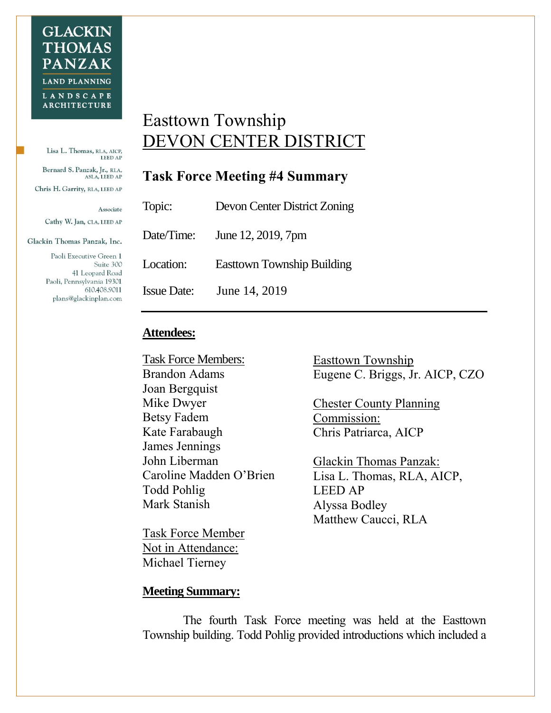Lisa L. Thomas, RLA, AICP, LEED AP Bernard S. Panzak, Jr., RLA, ASLA, LEED AP Chris H. Garrity, RLA, LEED AP

Associate

Cathy W. Jan, CLA, LEED AP

Glackin Thomas Panzak, Inc.

Paoli Executive Green 1 Suite 300 41 Leopard Road Paoli, Pennsylvania 19301 610.408.9011 plans@glackinplan.com

## Easttown Township DEVON CENTER DISTRICT

## **Task Force Meeting #4 Summary**

| Topic:             | Devon Center District Zoning       |
|--------------------|------------------------------------|
|                    | Date/Time: June $12, 2019, 7$ pm   |
| Location:          | <b>East town Township Building</b> |
| <b>Issue Date:</b> | June 14, 2019                      |

## **Attendees:**

Task Force Members: Brandon Adams Joan Bergquist Mike Dwyer Betsy Fadem Kate Farabaugh James Jennings John Liberman Caroline Madden O'Brien Todd Pohlig Mark Stanish

Task Force Member Not in Attendance: Michael Tierney

Easttown Township Eugene C. Briggs, Jr. AICP, CZO

Chester County Planning Commission: Chris Patriarca, AICP

Glackin Thomas Panzak: Lisa L. Thomas, RLA, AICP, LEED AP Alyssa Bodley Matthew Caucci, RLA

## **Meeting Summary:**

The fourth Task Force meeting was held at the Easttown Township building. Todd Pohlig provided introductions which included a